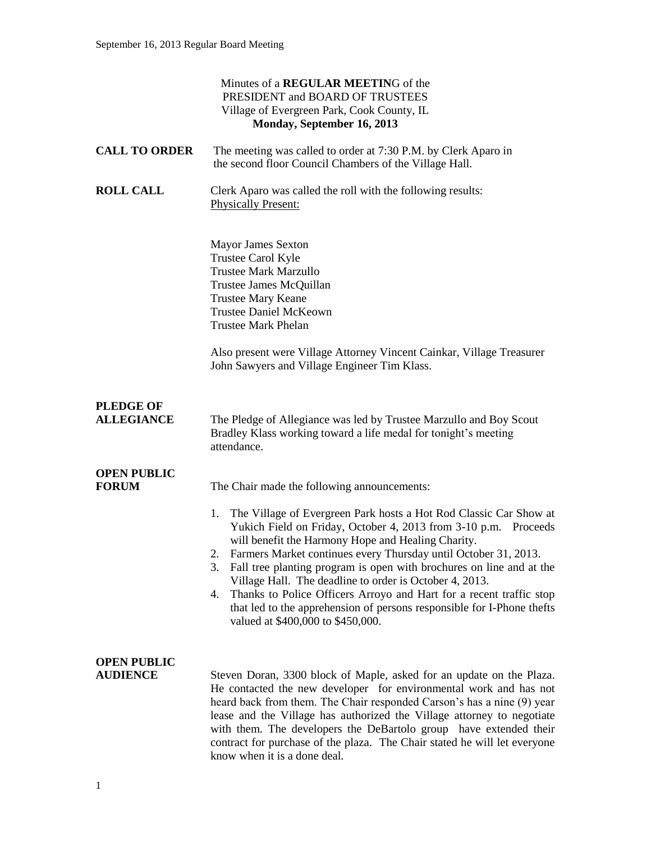|                                       | Minutes of a <b>REGULAR MEETING</b> of the<br>PRESIDENT and BOARD OF TRUSTEES<br>Village of Evergreen Park, Cook County, IL<br>Monday, September 16, 2013                                                                                                                                                                                                                                                                                                                                                                                                                                                                                               |
|---------------------------------------|---------------------------------------------------------------------------------------------------------------------------------------------------------------------------------------------------------------------------------------------------------------------------------------------------------------------------------------------------------------------------------------------------------------------------------------------------------------------------------------------------------------------------------------------------------------------------------------------------------------------------------------------------------|
| <b>CALL TO ORDER</b>                  | The meeting was called to order at 7:30 P.M. by Clerk Aparo in<br>the second floor Council Chambers of the Village Hall.                                                                                                                                                                                                                                                                                                                                                                                                                                                                                                                                |
| <b>ROLL CALL</b>                      | Clerk Aparo was called the roll with the following results:<br><b>Physically Present:</b>                                                                                                                                                                                                                                                                                                                                                                                                                                                                                                                                                               |
|                                       | <b>Mayor James Sexton</b><br>Trustee Carol Kyle<br><b>Trustee Mark Marzullo</b><br>Trustee James McQuillan<br><b>Trustee Mary Keane</b><br><b>Trustee Daniel McKeown</b><br><b>Trustee Mark Phelan</b><br>Also present were Village Attorney Vincent Cainkar, Village Treasurer<br>John Sawyers and Village Engineer Tim Klass.                                                                                                                                                                                                                                                                                                                         |
| <b>PLEDGE OF</b><br><b>ALLEGIANCE</b> | The Pledge of Allegiance was led by Trustee Marzullo and Boy Scout<br>Bradley Klass working toward a life medal for tonight's meeting<br>attendance.                                                                                                                                                                                                                                                                                                                                                                                                                                                                                                    |
| <b>OPEN PUBLIC</b><br><b>FORUM</b>    | The Chair made the following announcements:<br>The Village of Evergreen Park hosts a Hot Rod Classic Car Show at<br>1.<br>Yukich Field on Friday, October 4, 2013 from 3-10 p.m. Proceeds<br>will benefit the Harmony Hope and Healing Charity.<br>Farmers Market continues every Thursday until October 31, 2013.<br>Fall tree planting program is open with brochures on line and at the<br>3.<br>Village Hall. The deadline to order is October 4, 2013.<br>Thanks to Police Officers Arroyo and Hart for a recent traffic stop<br>4.<br>that led to the apprehension of persons responsible for I-Phone thefts<br>valued at \$400,000 to \$450,000. |
| <b>OPEN PUBLIC</b><br><b>AUDIENCE</b> | Steven Doran, 3300 block of Maple, asked for an update on the Plaza.<br>He contacted the new developer for environmental work and has not<br>heard back from them. The Chair responded Carson's has a nine (9) year<br>lease and the Village has authorized the Village attorney to negotiate<br>with them. The developers the DeBartolo group have extended their<br>contract for purchase of the plaza. The Chair stated he will let everyone<br>know when it is a done deal.                                                                                                                                                                         |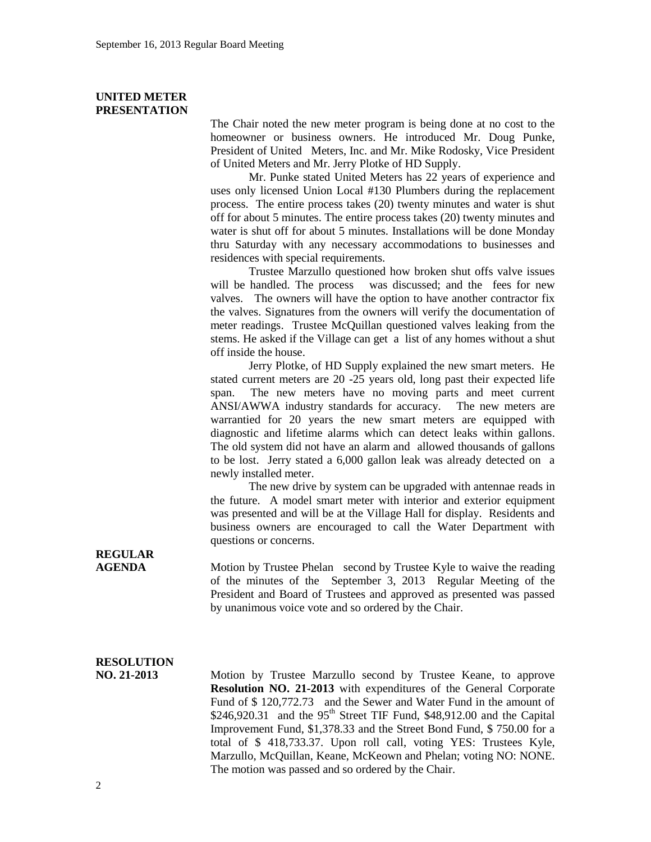### **UNITED METER PRESENTATION**

The Chair noted the new meter program is being done at no cost to the homeowner or business owners. He introduced Mr. Doug Punke, President of United Meters, Inc. and Mr. Mike Rodosky, Vice President of United Meters and Mr. Jerry Plotke of HD Supply.

Mr. Punke stated United Meters has 22 years of experience and uses only licensed Union Local #130 Plumbers during the replacement process. The entire process takes (20) twenty minutes and water is shut off for about 5 minutes. The entire process takes (20) twenty minutes and water is shut off for about 5 minutes. Installations will be done Monday thru Saturday with any necessary accommodations to businesses and residences with special requirements.

Trustee Marzullo questioned how broken shut offs valve issues will be handled. The process was discussed; and the fees for new valves. The owners will have the option to have another contractor fix the valves. Signatures from the owners will verify the documentation of meter readings. Trustee McQuillan questioned valves leaking from the stems. He asked if the Village can get a list of any homes without a shut off inside the house.

Jerry Plotke, of HD Supply explained the new smart meters. He stated current meters are 20 -25 years old, long past their expected life span. The new meters have no moving parts and meet current ANSI/AWWA industry standards for accuracy. The new meters are warrantied for 20 years the new smart meters are equipped with diagnostic and lifetime alarms which can detect leaks within gallons. The old system did not have an alarm and allowed thousands of gallons to be lost. Jerry stated a 6,000 gallon leak was already detected on a newly installed meter.

The new drive by system can be upgraded with antennae reads in the future. A model smart meter with interior and exterior equipment was presented and will be at the Village Hall for display. Residents and business owners are encouraged to call the Water Department with questions or concerns.

**REGULAR** 

**AGENDA** Motion by Trustee Phelan second by Trustee Kyle to waive the reading of the minutes of the September 3, 2013 Regular Meeting of the President and Board of Trustees and approved as presented was passed by unanimous voice vote and so ordered by the Chair.

## **RESOLUTION**

**NO. 21-2013** Motion by Trustee Marzullo second by Trustee Keane, to approve **Resolution NO. 21-2013** with expenditures of the General Corporate Fund of \$ 120,772.73 and the Sewer and Water Fund in the amount of  $$246,920.31$  and the 95<sup>th</sup> Street TIF Fund, \$48,912.00 and the Capital Improvement Fund, \$1,378.33 and the Street Bond Fund, \$ 750.00 for a total of \$ 418,733.37. Upon roll call, voting YES: Trustees Kyle, Marzullo, McQuillan, Keane, McKeown and Phelan; voting NO: NONE. The motion was passed and so ordered by the Chair.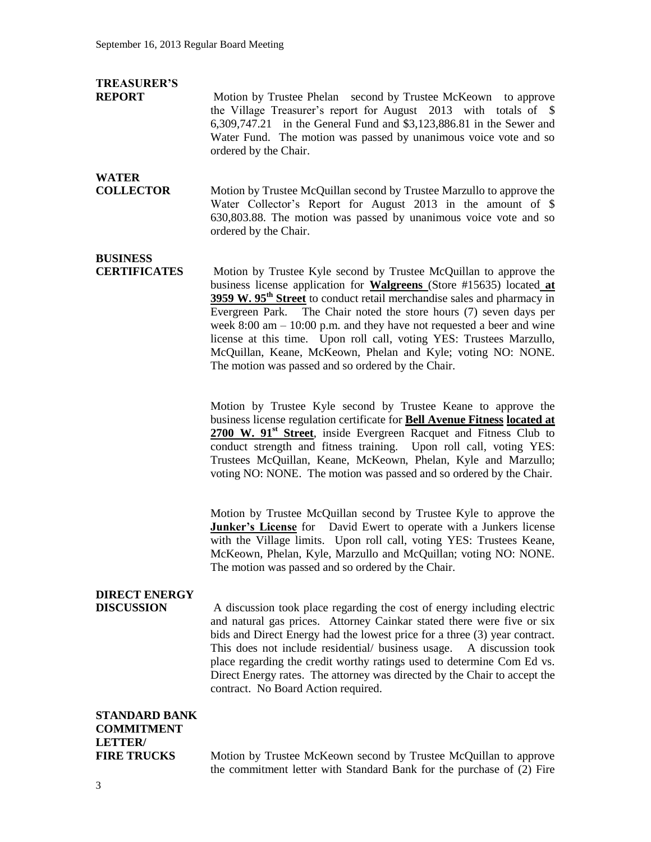### **TREASURER'S**

**REPORT** Motion by Trustee Phelan second by Trustee McKeown to approve the Village Treasurer's report for August 2013 with totals of \$ 6,309,747.21 in the General Fund and \$3,123,886.81 in the Sewer and Water Fund. The motion was passed by unanimous voice vote and so ordered by the Chair.

## **WATER**

**COLLECTOR** Motion by Trustee McQuillan second by Trustee Marzullo to approve the Water Collector's Report for August 2013 in the amount of \$ 630,803.88. The motion was passed by unanimous voice vote and so ordered by the Chair.

## **BUSINESS**

**CERTIFICATES** Motion by Trustee Kyle second by Trustee McQuillan to approve the business license application for **Walgreens** (Store #15635) located **at 3959 W. 95th Street** to conduct retail merchandise sales and pharmacy in Evergreen Park. The Chair noted the store hours (7) seven days per week 8:00 am – 10:00 p.m. and they have not requested a beer and wine license at this time. Upon roll call, voting YES: Trustees Marzullo, McQuillan, Keane, McKeown, Phelan and Kyle; voting NO: NONE. The motion was passed and so ordered by the Chair.

> Motion by Trustee Kyle second by Trustee Keane to approve the business license regulation certificate for **Bell Avenue Fitness located at**  2700 W. 91<sup>st</sup> Street, inside Evergreen Racquet and Fitness Club to conduct strength and fitness training. Upon roll call, voting YES: Trustees McQuillan, Keane, McKeown, Phelan, Kyle and Marzullo; voting NO: NONE. The motion was passed and so ordered by the Chair.

> Motion by Trustee McQuillan second by Trustee Kyle to approve the **Junker's License** for David Ewert to operate with a Junkers license with the Village limits. Upon roll call, voting YES: Trustees Keane, McKeown, Phelan, Kyle, Marzullo and McQuillan; voting NO: NONE. The motion was passed and so ordered by the Chair.

# **DIRECT ENERGY**

**DISCUSSION** A discussion took place regarding the cost of energy including electric and natural gas prices. Attorney Cainkar stated there were five or six bids and Direct Energy had the lowest price for a three (3) year contract. This does not include residential/ business usage. A discussion took place regarding the credit worthy ratings used to determine Com Ed vs. Direct Energy rates. The attorney was directed by the Chair to accept the contract. No Board Action required.

## **STANDARD BANK COMMITMENT LETTER/**

**FIRE TRUCKS** Motion by Trustee McKeown second by Trustee McQuillan to approve the commitment letter with Standard Bank for the purchase of (2) Fire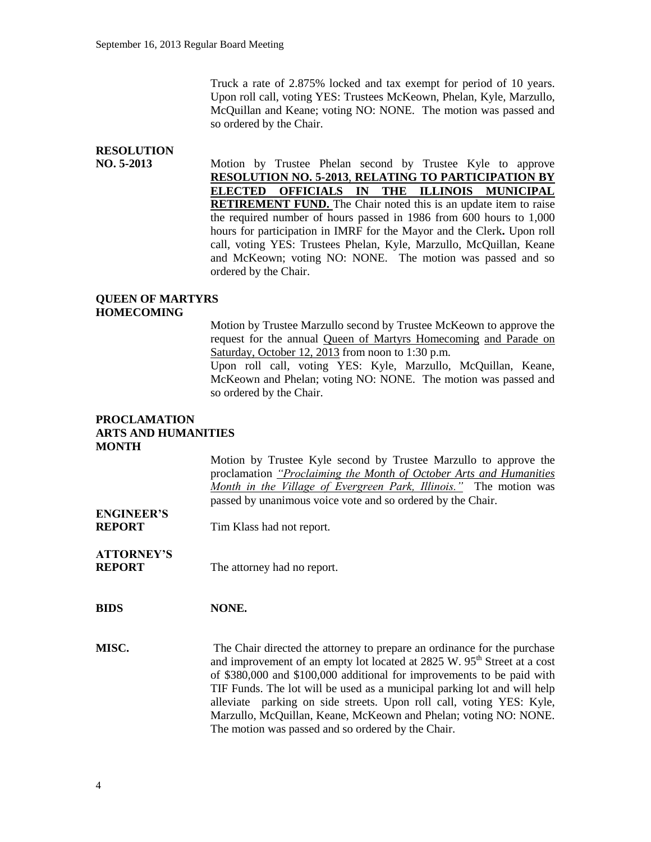Truck a rate of 2.875% locked and tax exempt for period of 10 years. Upon roll call, voting YES: Trustees McKeown, Phelan, Kyle, Marzullo, McQuillan and Keane; voting NO: NONE. The motion was passed and so ordered by the Chair.

## **RESOLUTION**

**NO. 5-2013** Motion by Trustee Phelan second by Trustee Kyle to approve **RESOLUTION NO. 5-2013**, **RELATING TO PARTICIPATION BY ELECTED OFFICIALS IN THE ILLINOIS MUNICIPAL RETIREMENT FUND.** The Chair noted this is an update item to raise the required number of hours passed in 1986 from 600 hours to 1,000 hours for participation in IMRF for the Mayor and the Clerk**.** Upon roll call, voting YES: Trustees Phelan, Kyle, Marzullo, McQuillan, Keane and McKeown; voting NO: NONE. The motion was passed and so ordered by the Chair.

### **QUEEN OF MARTYRS HOMECOMING**

Motion by Trustee Marzullo second by Trustee McKeown to approve the request for the annual Queen of Martyrs Homecoming and Parade on Saturday, October 12, 2013 from noon to 1:30 p.m.

Upon roll call, voting YES: Kyle, Marzullo, McQuillan, Keane, McKeown and Phelan; voting NO: NONE. The motion was passed and so ordered by the Chair.

#### **PROCLAMATION ARTS AND HUMANITIES MONTH**

Motion by Trustee Kyle second by Trustee Marzullo to approve the proclamation *"Proclaiming the Month of October Arts and Humanities Month in the Village of Evergreen Park, Illinois."* The motion was passed by unanimous voice vote and so ordered by the Chair. **ENGINEER'S REPORT** Tim Klass had not report. **ATTORNEY'S REPORT** The attorney had no report. **BIDS NONE. MISC.** The Chair directed the attorney to prepare an ordinance for the purchase and improvement of an empty lot located at 2825 W. 95<sup>th</sup> Street at a cost of \$380,000 and \$100,000 additional for improvements to be paid with TIF Funds. The lot will be used as a municipal parking lot and will help alleviate parking on side streets. Upon roll call, voting YES: Kyle, Marzullo, McQuillan, Keane, McKeown and Phelan; voting NO: NONE. The motion was passed and so ordered by the Chair.